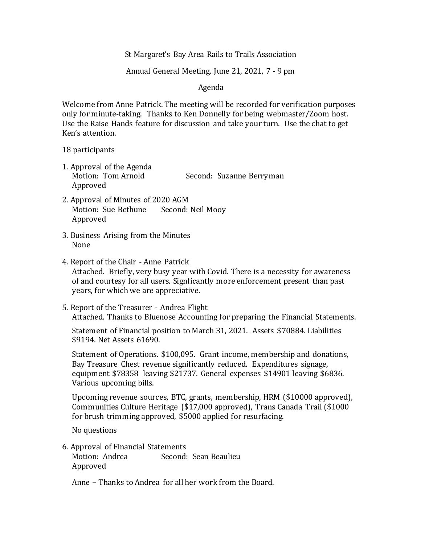St Margaret's Bay Area Rails to Trails Association

# Annual General Meeting, June 21, 2021, 7 - 9 pm

## Agenda

Welcome from Anne Patrick. The meeting will be recorded for verification purposes only for minute-taking. Thanks to Ken Donnelly for being webmaster/Zoom host. Use the Raise Hands feature for discussion and take your turn. Use the chat to get Ken's attention.

#### 18 participants

1. Approval of the Agenda Motion: Tom Arnold Second: Suzanne Berryman Approved

- 2. Approval of Minutes of 2020 AGM Motion: Sue Bethune Second: Neil Mooy Approved
- 3. Business Arising from the Minutes None
- 4. Report of the Chair Anne Patrick Attached. Briefly, very busy year with Covid. There is a necessity for awareness of and courtesy for all users. Signficantly more enforcement present than past years, for which we are appreciative.
- 5. Report of the Treasurer Andrea Flight Attached. Thanks to Bluenose Accounting for preparing the Financial Statements.

Statement of Financial position to March 31, 2021. Assets \$70884. Liabilities \$9194. Net Assets 61690.

Statement of Operations. \$100,095. Grant income, membership and donations, Bay Treasure Chest revenue significantly reduced. Expenditures signage, equipment \$78358 leaving \$21737. General expenses \$14901 leaving \$6836. Various upcoming bills.

Upcoming revenue sources, BTC, grants, membership, HRM (\$10000 approved), Communities Culture Heritage (\$17,000 approved), Trans Canada Trail (\$1000 for brush trimming approved, \$5000 applied for resurfacing.

No questions

6. Approval of Financial Statements Motion: Andrea Second: Sean Beaulieu Approved

Anne – Thanks to Andrea for all her work from the Board.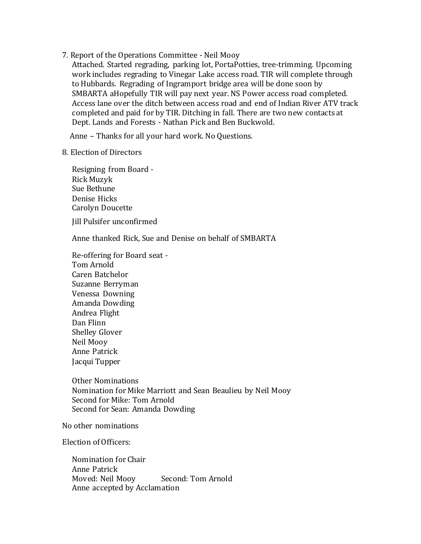7. Report of the Operations Committee - Neil Mooy

Attached. Started regrading, parking lot, PortaPotties, tree-trimming. Upcoming work includes regrading to Vinegar Lake access road. TIR will complete through to Hubbards. Regrading of Ingramport bridge area will be done soon by SMBARTA aHopefully TIR will pay next year. NS Power access road completed. Access lane over the ditch between access road and end of Indian River ATV track completed and paid for by TIR. Ditching in fall. There are two new contacts at Dept. Lands and Forests - Nathan Pick and Ben Buckwold.

Anne – Thanks for all your hard work. No Questions.

### 8. Election of Directors

Resigning from Board - Rick Muzyk Sue Bethune Denise Hicks Carolyn Doucette

Jill Pulsifer unconfirmed

Anne thanked Rick, Sue and Denise on behalf of SMBARTA

Re-offering for Board seat - Tom Arnold Caren Batchelor Suzanne Berryman Venessa Downing Amanda Dowding Andrea Flight Dan Flinn Shelley Glover Neil Mooy Anne Patrick Jacqui Tupper

Other Nominations Nomination for Mike Marriott and Sean Beaulieu by Neil Mooy Second for Mike: Tom Arnold Second for Sean: Amanda Dowding

No other nominations

Election of Officers:

Nomination for Chair Anne Patrick Moved: Neil Mooy Second: Tom Arnold Anne accepted by Acclamation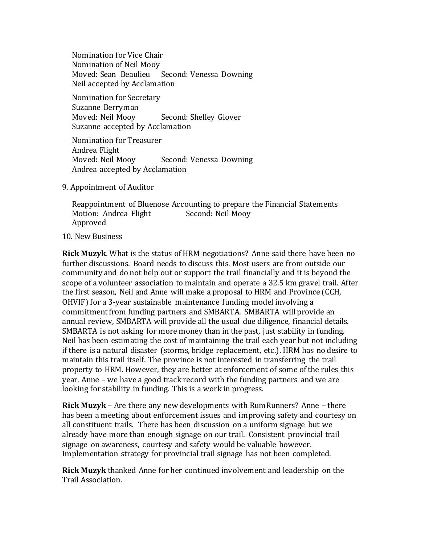Nomination for Vice Chair Nomination of Neil Mooy Moved: Sean Beaulieu Second: Venessa Downing Neil accepted by Acclamation

Nomination for Secretary Suzanne Berryman Moved: Neil Mooy Second: Shelley Glover Suzanne accepted by Acclamation

Nomination for Treasurer Andrea Flight Moved: Neil Mooy Second: Venessa Downing Andrea accepted by Acclamation

9. Appointment of Auditor

Reappointment of Bluenose Accounting to prepare the Financial Statements Motion: Andrea Flight Second: Neil Mooy Approved

#### 10. New Business

**Rick Muzyk**. What is the status of HRM negotiations? Anne said there have been no further discussions. Board needs to discuss this. Most users are from outside our community and do not help out or support the trail financially and it is beyond the scope of a volunteer association to maintain and operate a 32.5 km gravel trail. After the first season, Neil and Anne will make a proposal to HRM and Province (CCH, OHVIF) for a 3-year sustainable maintenance funding model involving a commitment from funding partners and SMBARTA. SMBARTA will provide an annual review, SMBARTA will provide all the usual due diligence, financial details. SMBARTA is not asking for more money than in the past, just stability in funding. Neil has been estimating the cost of maintaining the trail each year but not including if there is a natural disaster (storms, bridge replacement, etc.). HRM has no desire to maintain this trail itself. The province is not interested in transferring the trail property to HRM. However, they are better at enforcement of some of the rules this year. Anne – we have a good track record with the funding partners and we are looking for stability in funding. This is a work in progress.

**Rick Muzyk** – Are there any new developments with RumRunners? Anne – there has been a meeting about enforcement issues and improving safety and courtesy on all constituent trails. There has been discussion on a uniform signage but we already have more than enough signage on our trail. Consistent provincial trail signage on awareness, courtesy and safety would be valuable however. Implementation strategy for provincial trail signage has not been completed.

**Rick Muzyk** thanked Anne for her continued involvement and leadership on the Trail Association.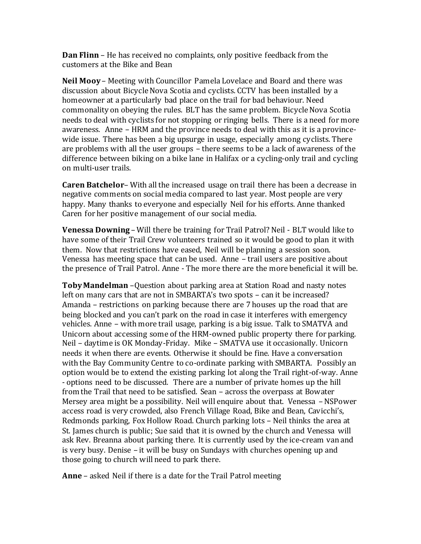**Dan Flinn** – He has received no complaints, only positive feedback from the customers at the Bike and Bean

**Neil Mooy** – Meeting with Councillor Pamela Lovelace and Board and there was discussion about Bicycle Nova Scotia and cyclists. CCTV has been installed by a homeowner at a particularly bad place on the trail for bad behaviour. Need commonality on obeying the rules. BLT has the same problem. Bicycle Nova Scotia needs to deal with cyclists for not stopping or ringing bells. There is a need for more awareness. Anne – HRM and the province needs to deal with this as it is a provincewide issue. There has been a big upsurge in usage, especially among cyclists. There are problems with all the user groups – there seems to be a lack of awareness of the difference between biking on a bike lane in Halifax or a cycling-only trail and cycling on multi-user trails.

**Caren Batchelor**– With all the increased usage on trail there has been a decrease in negative comments on social media compared to last year. Most people are very happy. Many thanks to everyone and especially Neil for his efforts. Anne thanked Caren for her positive management of our social media.

**Venessa Downing** – Will there be training for Trail Patrol? Neil - BLT would like to have some of their Trail Crew volunteers trained so it would be good to plan it with them. Now that restrictions have eased, Neil will be planning a session soon. Venessa has meeting space that can be used. Anne – trail users are positive about the presence of Trail Patrol. Anne - The more there are the more beneficial it will be.

**Toby Mandelman** –Question about parking area at Station Road and nasty notes left on many cars that are not in SMBARTA's two spots – can it be increased? Amanda – restrictions on parking because there are 7 houses up the road that are being blocked and you can't park on the road in case it interferes with emergency vehicles. Anne – with more trail usage, parking is a big issue. Talk to SMATVA and Unicorn about accessing some of the HRM-owned public property there for parking. Neil – daytime is OK Monday-Friday. Mike – SMATVA use it occasionally. Unicorn needs it when there are events. Otherwise it should be fine. Have a conversation with the Bay Community Centre to co-ordinate parking with SMBARTA. Possibly an option would be to extend the existing parking lot along the Trail right-of-way. Anne - options need to be discussed. There are a number of private homes up the hill from the Trail that need to be satisfied. Sean – across the overpass at Bowater Mersey area might be a possibility. Neil will enquire about that. Venessa –NSPower access road is very crowded, also French Village Road, Bike and Bean, Cavicchi's, Redmonds parking, Fox Hollow Road. Church parking lots – Neil thinks the area at St. James church is public; Sue said that it is owned by the church and Venessa will ask Rev. Breanna about parking there. It is currently used by the ice-cream van and is very busy. Denise – it will be busy on Sundays with churches opening up and those going to church will need to park there.

**Anne** – asked Neil if there is a date for the Trail Patrol meeting